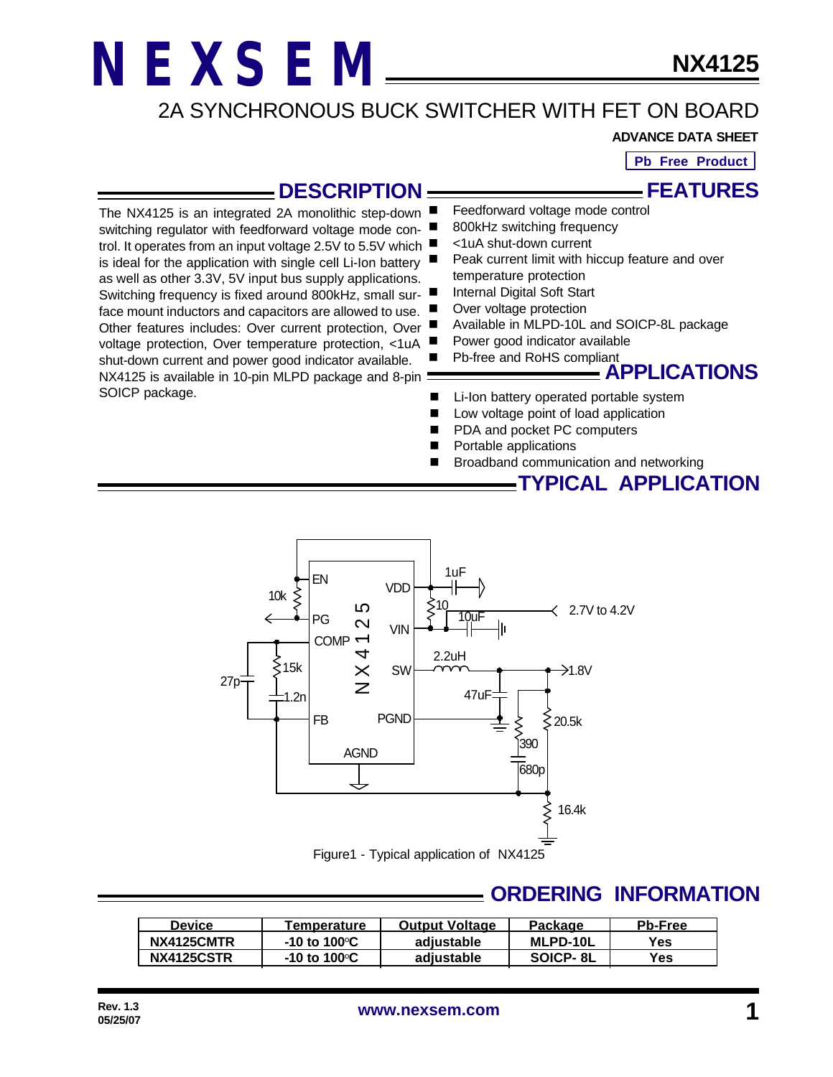trol. It operates from an input voltage 2.5V to 5.5V which is ideal for the application with single cell Li-Ion battery as well as other 3.3V, 5V input bus supply applications. Switching frequency is fixed around 800kHz, small surface mount inductors and capacitors are allowed to use. Other features includes: Over current protection, Over voltage protection, Over temperature protection, <1uA shut-down current and power good indicator available. NX4125 is available in 10-pin MLPD package and 8-pin :

SOICP package.

#### 2A SYNCHRONOUS BUCK SWITCHER WITH FET ON BOARD

**ADVANCE DATA SHEET**

**Pb Free Product**

### **DESCRIPTION**

Feedforward voltage mode control **FEATURES**

- The NX4125 is an integrated 2A monolithic step-down switching regulator with feedforward voltage mode con-800kHz switching frequency
	- <1uA shut-down current
	- Peak current limit with hiccup feature and over temperature protection
	- Internal Digital Soft Start
	- Over voltage protection
	- Available in MLPD-10L and SOICP-8L package
	- Power good indicator available
	- Pb-free and RoHS compliant

#### **APPLICATIONS**

**TYPICAL APPLICATION**

- Li-Ion battery operated portable system
- Low voltage point of load application
- PDA and pocket PC computers
- Portable applications
- Broadband communication and networking

Figure1 - Typical application of NX4125 10uF 2.2uH 47uF 2.7V to 4.2V  $\rightarrow$ 1.8V 16.4k 20.5k VIN SW PGND AGND FB EN VDD COMP PG N X 4 1 2 5 1uF 10 390  $\xi$ 15k 1.2n 27p 10k 680p

#### **ORDERING INFORMATION**

| <b>Device</b> | Temperature                     | <b>Output Voltage</b> | Package         | <b>Pb-Free</b> |
|---------------|---------------------------------|-----------------------|-----------------|----------------|
| NX4125CMTR    | -10 to 100 $\mathrm{^{\circ}C}$ | adiustable            | <b>MLPD-10L</b> | Yes            |
| NX4125CSTR    | -10 to 100 $\mathrm{^{\circ}C}$ | adiustable            | SOICP-8L        | Yes.           |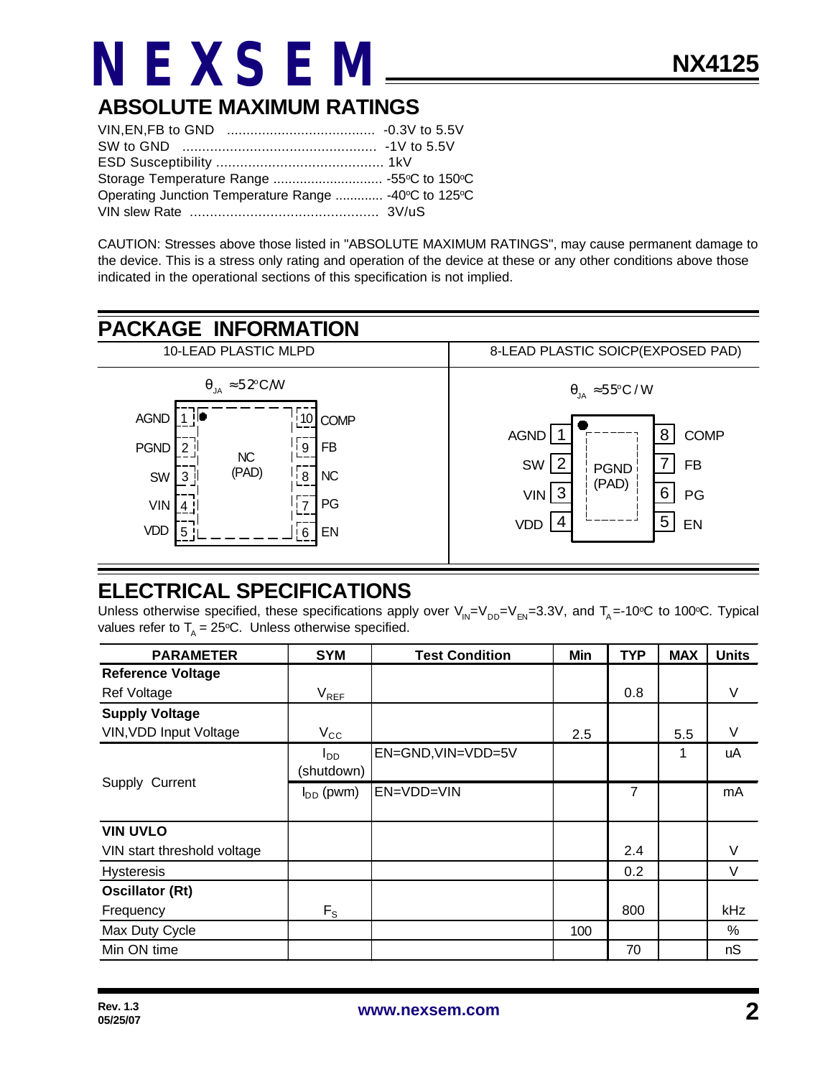### **ABSOLUTE MAXIMUM RATINGS**

| Operating Junction Temperature Range  -40°C to 125°C |  |
|------------------------------------------------------|--|
|                                                      |  |

CAUTION: Stresses above those listed in "ABSOLUTE MAXIMUM RATINGS", may cause permanent damage to the device. This is a stress only rating and operation of the device at these or any other conditions above those indicated in the operational sections of this specification is not implied.



#### **ELECTRICAL SPECIFICATIONS**

Unless otherwise specified, these specifications apply over  $V_{IN}=V_{DD}=V_{EN}=3.3V$ , and  $T_A$  =-10°C to 100°C. Typical values refer to  $T_A = 25$ °C. Unless otherwise specified.

| <b>PARAMETER</b>              | <b>SYM</b>      | <b>Test Condition</b> | Min | <b>TYP</b> | <b>MAX</b> | <b>Units</b> |
|-------------------------------|-----------------|-----------------------|-----|------------|------------|--------------|
| <b>Reference Voltage</b>      |                 |                       |     |            |            |              |
| Ref Voltage                   | $V_{REF}$       |                       |     | 0.8        |            | V            |
| <b>Supply Voltage</b>         |                 |                       |     |            |            |              |
| <b>VIN, VDD Input Voltage</b> | $V_{\rm CC}$    |                       | 2.5 |            | 5.5        | V            |
|                               | l <sub>DD</sub> | EN=GND, VIN=VDD=5V    |     |            | 1          | uA           |
|                               | (shutdown)      |                       |     |            |            |              |
| Supply Current                | $I_{DD}$ (pwm)  | EN=VDD=VIN            |     | 7          |            | mA           |
|                               |                 |                       |     |            |            |              |
| <b>VIN UVLO</b>               |                 |                       |     |            |            |              |
| VIN start threshold voltage   |                 |                       |     | 2.4        |            | V            |
| <b>Hysteresis</b>             |                 |                       |     | 0.2        |            | V            |
| <b>Oscillator (Rt)</b>        |                 |                       |     |            |            |              |
| Frequency                     | $F_S$           |                       |     | 800        |            | kHz          |
| Max Duty Cycle                |                 |                       | 100 |            |            | $\%$         |
| Min ON time                   |                 |                       |     | 70         |            | nS           |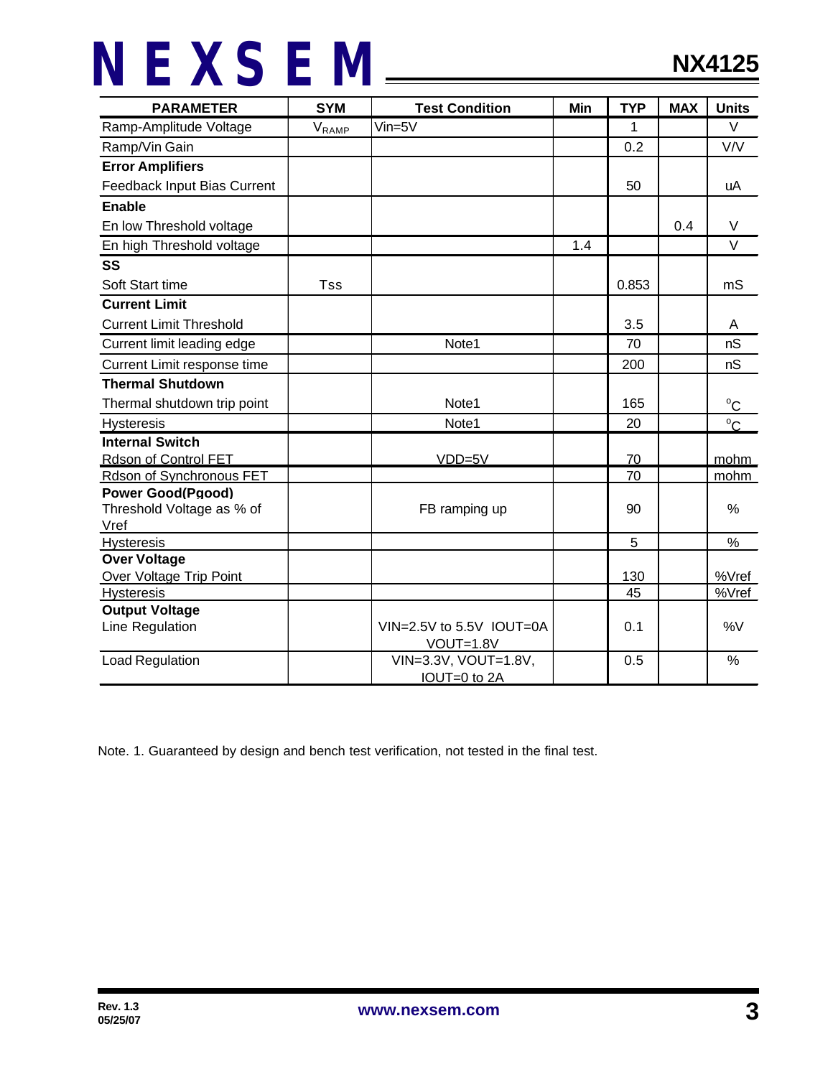| <b>PARAMETER</b>               | <b>SYM</b>      | <b>Test Condition</b>    | Min | <b>TYP</b> | <b>MAX</b> | <b>Units</b>  |
|--------------------------------|-----------------|--------------------------|-----|------------|------------|---------------|
| Ramp-Amplitude Voltage         | $V_{\sf{RAMP}}$ | $V$ in=5 $V$             |     | 1          |            | $\vee$        |
| Ramp/Vin Gain                  |                 |                          |     | 0.2        |            | V/V           |
| <b>Error Amplifiers</b>        |                 |                          |     |            |            |               |
| Feedback Input Bias Current    |                 |                          |     | 50         |            | uA            |
| <b>Enable</b>                  |                 |                          |     |            |            |               |
| En low Threshold voltage       |                 |                          |     |            | 0.4        | V             |
| En high Threshold voltage      |                 |                          | 1.4 |            |            | $\vee$        |
| SS                             |                 |                          |     |            |            |               |
| Soft Start time                | Tss             |                          |     | 0.853      |            | mS            |
| <b>Current Limit</b>           |                 |                          |     |            |            |               |
| <b>Current Limit Threshold</b> |                 |                          |     | 3.5        |            | A             |
| Current limit leading edge     |                 | Note1                    |     | 70         |            | nS            |
| Current Limit response time    |                 |                          |     | 200        |            | nS            |
| <b>Thermal Shutdown</b>        |                 |                          |     |            |            |               |
| Thermal shutdown trip point    |                 | Note1                    |     | 165        |            | $^{\circ}C$   |
| Hysteresis                     |                 | Note1                    |     | 20         |            | $^{\circ}$ C  |
| <b>Internal Switch</b>         |                 |                          |     |            |            |               |
| Rdson of Control FET           |                 | $VDD=5V$                 |     | 70         |            | mohm          |
| Rdson of Synchronous FET       |                 |                          |     | 70         |            | mohm          |
| <b>Power Good(Pgood)</b>       |                 |                          |     |            |            |               |
| Threshold Voltage as % of      |                 | FB ramping up            |     | 90         |            | %             |
| Vref                           |                 |                          |     |            |            |               |
| <b>Hysteresis</b>              |                 |                          |     | 5          |            | $\%$          |
| <b>Over Voltage</b>            |                 |                          |     |            |            |               |
| Over Voltage Trip Point        |                 |                          |     | 130        |            | %Vref         |
| <b>Hysteresis</b>              |                 |                          |     | 45         |            | %Vref         |
| <b>Output Voltage</b>          |                 |                          |     |            |            |               |
| Line Regulation                |                 | VIN=2.5V to 5.5V IOUT=0A |     | 0.1        |            | %V            |
|                                |                 | VOUT=1.8V                |     |            |            |               |
| Load Regulation                |                 | VIN=3.3V, VOUT=1.8V,     |     | 0.5        |            | $\frac{0}{0}$ |
|                                |                 | IOUT=0 to 2A             |     |            |            |               |

Note. 1. Guaranteed by design and bench test verification, not tested in the final test.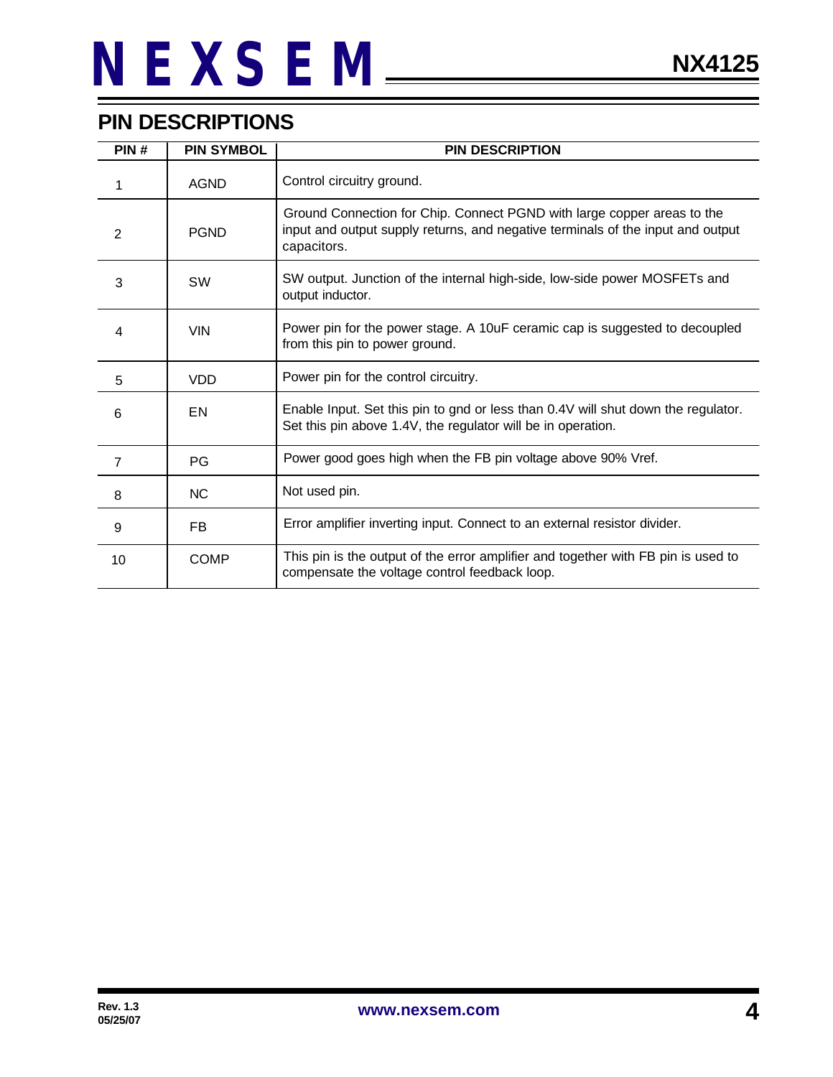### **PIN DESCRIPTIONS**

| PIN#           | <b>PIN SYMBOL</b> | <b>PIN DESCRIPTION</b>                                                                                                                                                    |
|----------------|-------------------|---------------------------------------------------------------------------------------------------------------------------------------------------------------------------|
| 1              | <b>AGND</b>       | Control circuitry ground.                                                                                                                                                 |
| 2              | <b>PGND</b>       | Ground Connection for Chip. Connect PGND with large copper areas to the<br>input and output supply returns, and negative terminals of the input and output<br>capacitors. |
| 3              | <b>SW</b>         | SW output. Junction of the internal high-side, low-side power MOSFETs and<br>output inductor.                                                                             |
| 4              | <b>VIN</b>        | Power pin for the power stage. A 10uF ceramic cap is suggested to decoupled<br>from this pin to power ground.                                                             |
| 5              | <b>VDD</b>        | Power pin for the control circuitry.                                                                                                                                      |
| 6              | EN                | Enable Input. Set this pin to gnd or less than 0.4V will shut down the regulator.<br>Set this pin above 1.4V, the regulator will be in operation.                         |
| $\overline{7}$ | <b>PG</b>         | Power good goes high when the FB pin voltage above 90% Vref.                                                                                                              |
| 8              | <b>NC</b>         | Not used pin.                                                                                                                                                             |
| 9              | FB.               | Error amplifier inverting input. Connect to an external resistor divider.                                                                                                 |
| 10             | <b>COMP</b>       | This pin is the output of the error amplifier and together with FB pin is used to<br>compensate the voltage control feedback loop.                                        |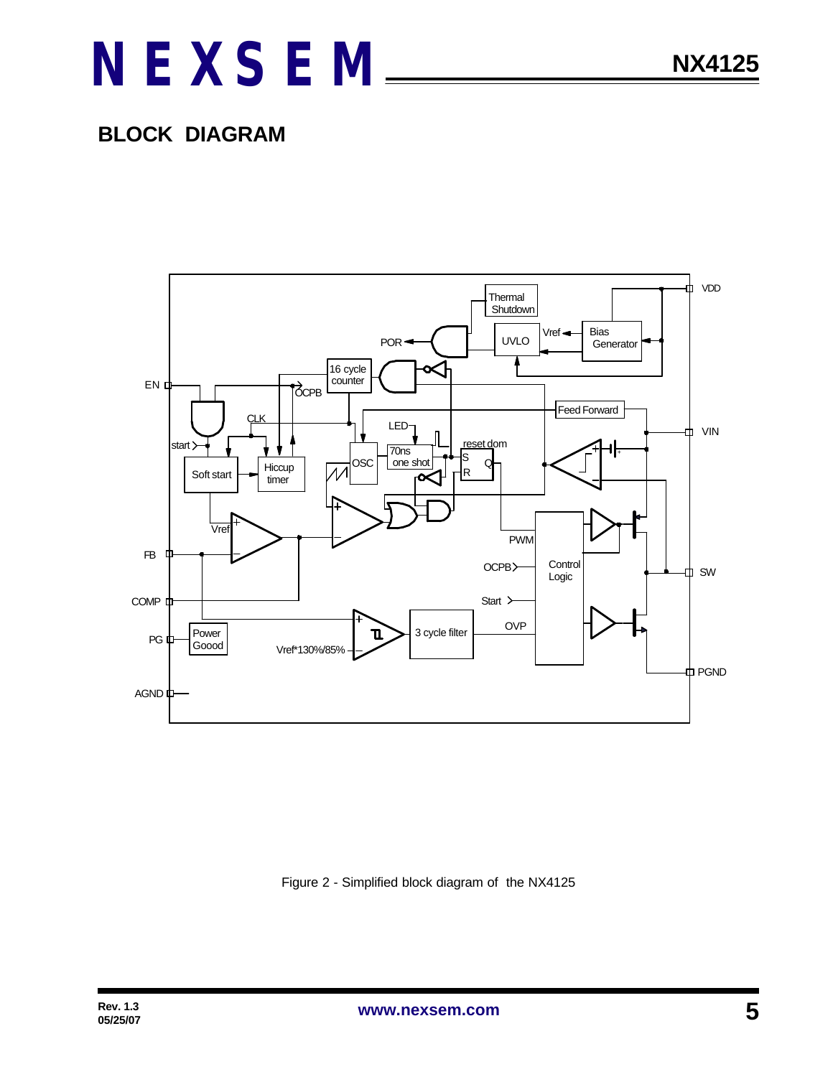### **BLOCK DIAGRAM**



Figure 2 - Simplified block diagram of the NX4125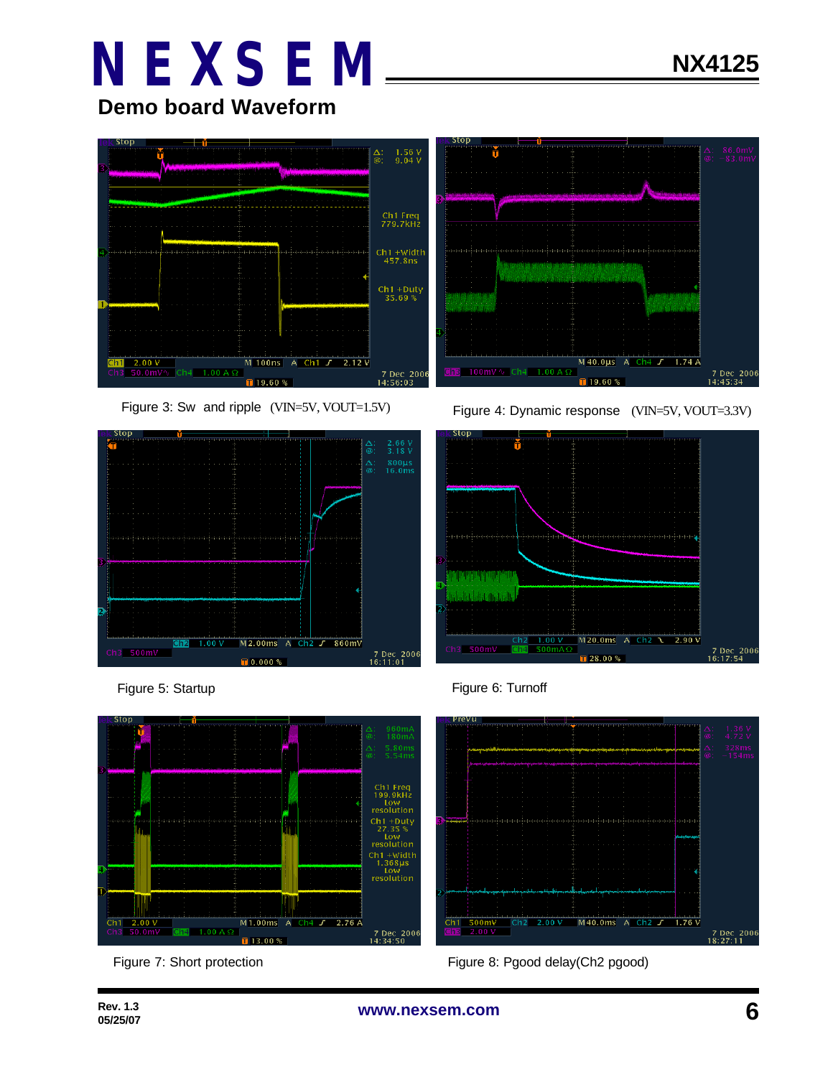**Demo board Waveform**









Figure 3: Sw and ripple (VIN=5V, VOUT=1.5V) Figure 4: Dynamic response (VIN=5V, VOUT=3.3V)







Figure 7: Short protection **Figure 8: Protection** Figure 8: Pgood delay(Ch2 pgood)